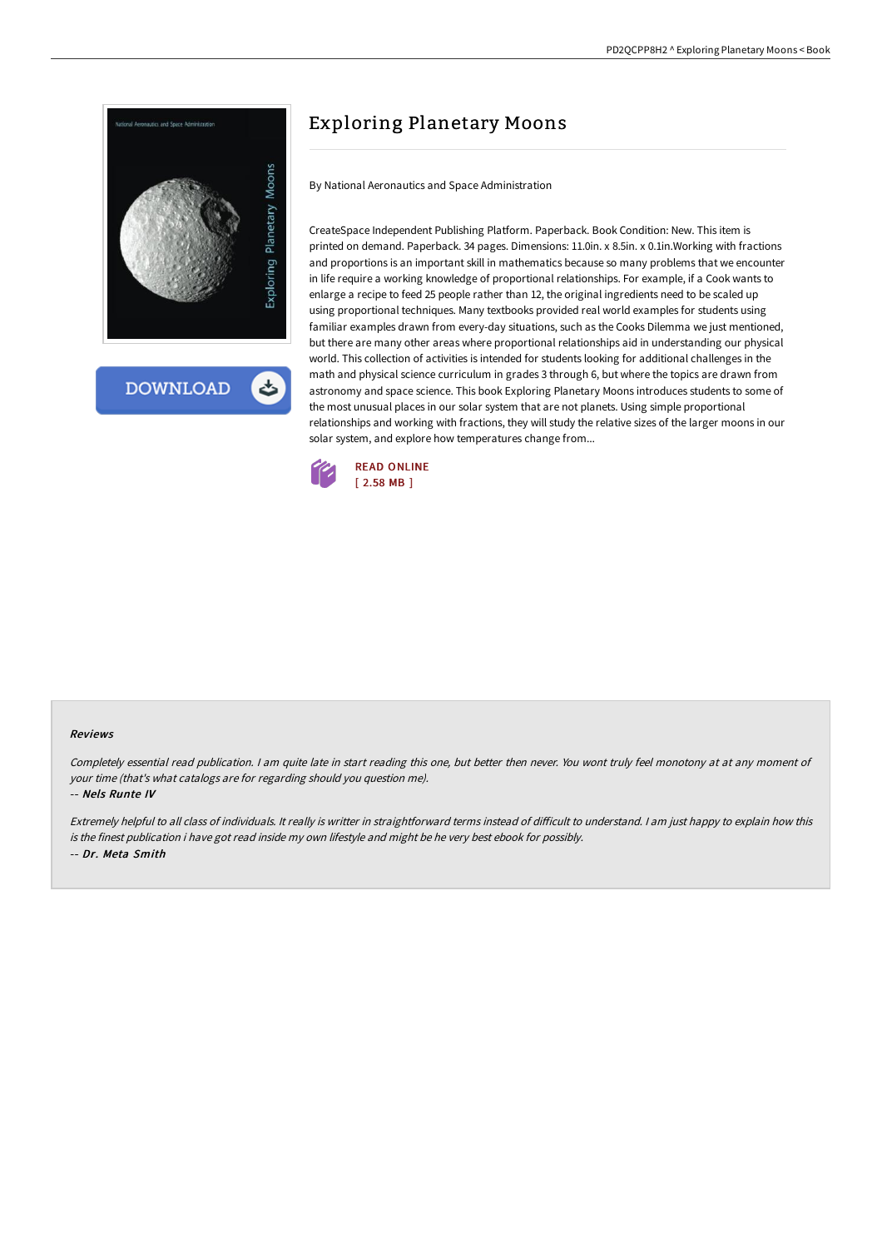

## Exploring Planetary Moons

By National Aeronautics and Space Administration

CreateSpace Independent Publishing Platform. Paperback. Book Condition: New. This item is printed on demand. Paperback. 34 pages. Dimensions: 11.0in. x 8.5in. x 0.1in.Working with fractions and proportions is an important skill in mathematics because so many problems that we encounter in life require a working knowledge of proportional relationships. For example, if a Cook wants to enlarge a recipe to feed 25 people rather than 12, the original ingredients need to be scaled up using proportional techniques. Many textbooks provided real world examples for students using familiar examples drawn from every-day situations, such as the Cooks Dilemma we just mentioned, but there are many other areas where proportional relationships aid in understanding our physical world. This collection of activities is intended for students looking for additional challenges in the math and physical science curriculum in grades 3 through 6, but where the topics are drawn from astronomy and space science. This book Exploring Planetary Moons introduces students to some of the most unusual places in our solar system that are not planets. Using simple proportional relationships and working with fractions, they will study the relative sizes of the larger moons in our solar system, and explore how temperatures change from...



## Reviews

Completely essential read publication. <sup>I</sup> am quite late in start reading this one, but better then never. You wont truly feel monotony at at any moment of your time (that's what catalogs are for regarding should you question me).

-- Nels Runte IV

Extremely helpful to all class of individuals. It really is writter in straightforward terms instead of difficult to understand. I am just happy to explain how this is the finest publication i have got read inside my own lifestyle and might be he very best ebook for possibly. -- Dr. Meta Smith